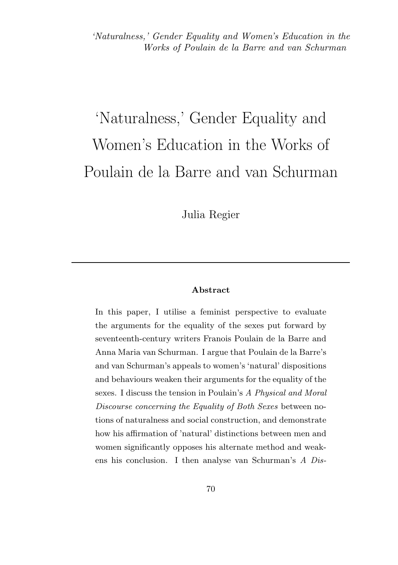# 'Naturalness,' Gender Equality and Women's Education in the Works of Poulain de la Barre and van Schurman

Julia Regier

#### Abstract

In this paper, I utilise a feminist perspective to evaluate the arguments for the equality of the sexes put forward by seventeenth-century writers Franois Poulain de la Barre and Anna Maria van Schurman. I argue that Poulain de la Barre's and van Schurman's appeals to women's 'natural' dispositions and behaviours weaken their arguments for the equality of the sexes. I discuss the tension in Poulain's A Physical and Moral Discourse concerning the Equality of Both Sexes between notions of naturalness and social construction, and demonstrate how his affirmation of 'natural' distinctions between men and women significantly opposes his alternate method and weakens his conclusion. I then analyse van Schurman's A Dis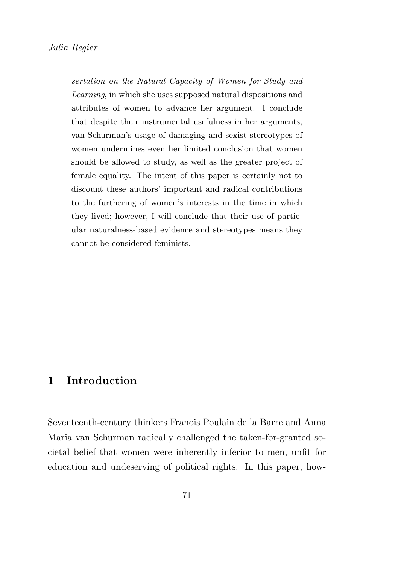sertation on the Natural Capacity of Women for Study and Learning, in which she uses supposed natural dispositions and attributes of women to advance her argument. I conclude that despite their instrumental usefulness in her arguments, van Schurman's usage of damaging and sexist stereotypes of women undermines even her limited conclusion that women should be allowed to study, as well as the greater project of female equality. The intent of this paper is certainly not to discount these authors' important and radical contributions to the furthering of women's interests in the time in which they lived; however, I will conclude that their use of particular naturalness-based evidence and stereotypes means they cannot be considered feminists.

## 1 Introduction

Seventeenth-century thinkers Franois Poulain de la Barre and Anna Maria van Schurman radically challenged the taken-for-granted societal belief that women were inherently inferior to men, unfit for education and undeserving of political rights. In this paper, how-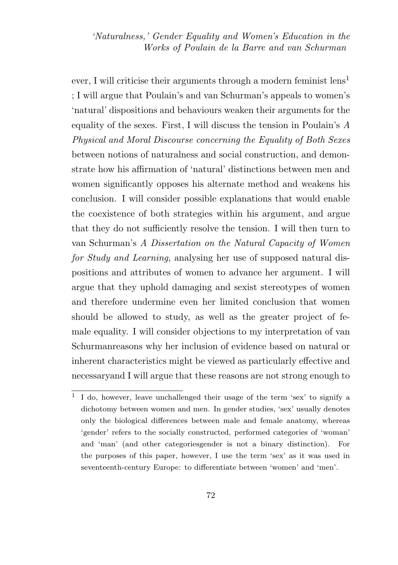ever, I will criticise their arguments through a modern feminist  $\text{ lens}^1$ ; I will argue that Poulain's and van Schurman's appeals to women's 'natural' dispositions and behaviours weaken their arguments for the equality of the sexes. First, I will discuss the tension in Poulain's A Physical and Moral Discourse concerning the Equality of Both Sexes between notions of naturalness and social construction, and demonstrate how his affirmation of 'natural' distinctions between men and women significantly opposes his alternate method and weakens his conclusion. I will consider possible explanations that would enable the coexistence of both strategies within his argument, and argue that they do not sufficiently resolve the tension. I will then turn to van Schurman's A Dissertation on the Natural Capacity of Women for Study and Learning, analysing her use of supposed natural dispositions and attributes of women to advance her argument. I will argue that they uphold damaging and sexist stereotypes of women and therefore undermine even her limited conclusion that women should be allowed to study, as well as the greater project of female equality. I will consider objections to my interpretation of van Schurmanreasons why her inclusion of evidence based on natural or inherent characteristics might be viewed as particularly effective and necessaryand I will argue that these reasons are not strong enough to

<sup>1</sup> I do, however, leave unchallenged their usage of the term 'sex' to signify a dichotomy between women and men. In gender studies, 'sex' usually denotes only the biological differences between male and female anatomy, whereas 'gender' refers to the socially constructed, performed categories of 'woman' and 'man' (and other categoriesgender is not a binary distinction). For the purposes of this paper, however, I use the term 'sex' as it was used in seventeenth-century Europe: to differentiate between 'women' and 'men'.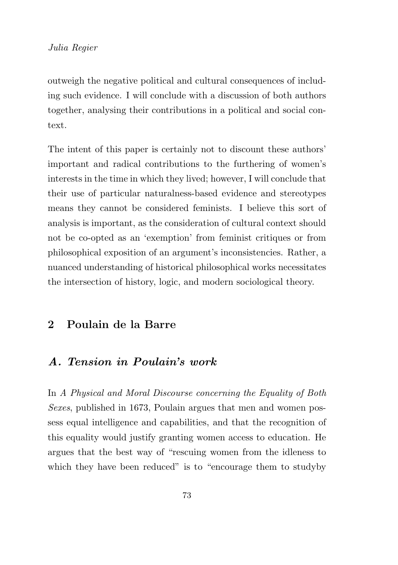outweigh the negative political and cultural consequences of including such evidence. I will conclude with a discussion of both authors together, analysing their contributions in a political and social context.

The intent of this paper is certainly not to discount these authors' important and radical contributions to the furthering of women's interests in the time in which they lived; however, I will conclude that their use of particular naturalness-based evidence and stereotypes means they cannot be considered feminists. I believe this sort of analysis is important, as the consideration of cultural context should not be co-opted as an 'exemption' from feminist critiques or from philosophical exposition of an argument's inconsistencies. Rather, a nuanced understanding of historical philosophical works necessitates the intersection of history, logic, and modern sociological theory.

# 2 Poulain de la Barre

## A. Tension in Poulain's work

In A Physical and Moral Discourse concerning the Equality of Both Sexes, published in 1673, Poulain argues that men and women possess equal intelligence and capabilities, and that the recognition of this equality would justify granting women access to education. He argues that the best way of "rescuing women from the idleness to which they have been reduced" is to "encourage them to study by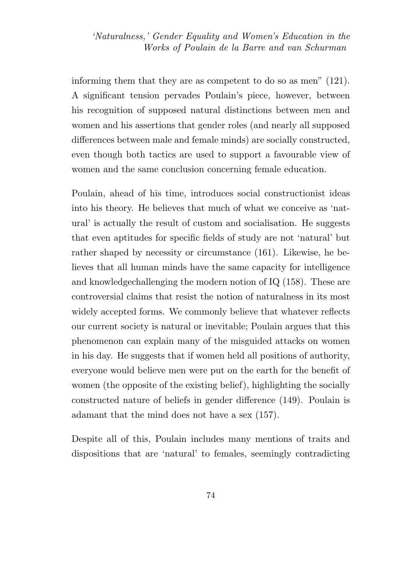informing them that they are as competent to do so as men" (121). A significant tension pervades Poulain's piece, however, between his recognition of supposed natural distinctions between men and women and his assertions that gender roles (and nearly all supposed differences between male and female minds) are socially constructed, even though both tactics are used to support a favourable view of women and the same conclusion concerning female education.

Poulain, ahead of his time, introduces social constructionist ideas into his theory. He believes that much of what we conceive as 'natural' is actually the result of custom and socialisation. He suggests that even aptitudes for specific fields of study are not 'natural' but rather shaped by necessity or circumstance (161). Likewise, he believes that all human minds have the same capacity for intelligence and knowledgechallenging the modern notion of IQ (158). These are controversial claims that resist the notion of naturalness in its most widely accepted forms. We commonly believe that whatever reflects our current society is natural or inevitable; Poulain argues that this phenomenon can explain many of the misguided attacks on women in his day. He suggests that if women held all positions of authority, everyone would believe men were put on the earth for the benefit of women (the opposite of the existing belief), highlighting the socially constructed nature of beliefs in gender difference (149). Poulain is adamant that the mind does not have a sex (157).

Despite all of this, Poulain includes many mentions of traits and dispositions that are 'natural' to females, seemingly contradicting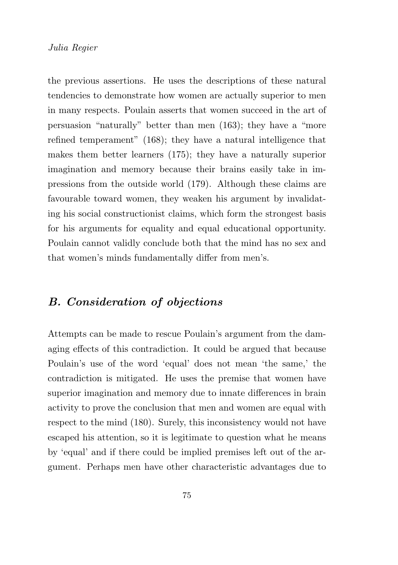the previous assertions. He uses the descriptions of these natural tendencies to demonstrate how women are actually superior to men in many respects. Poulain asserts that women succeed in the art of persuasion "naturally" better than men (163); they have a "more refined temperament" (168); they have a natural intelligence that makes them better learners (175); they have a naturally superior imagination and memory because their brains easily take in impressions from the outside world (179). Although these claims are favourable toward women, they weaken his argument by invalidating his social constructionist claims, which form the strongest basis for his arguments for equality and equal educational opportunity. Poulain cannot validly conclude both that the mind has no sex and that women's minds fundamentally differ from men's.

# B. Consideration of objections

Attempts can be made to rescue Poulain's argument from the damaging effects of this contradiction. It could be argued that because Poulain's use of the word 'equal' does not mean 'the same,' the contradiction is mitigated. He uses the premise that women have superior imagination and memory due to innate differences in brain activity to prove the conclusion that men and women are equal with respect to the mind (180). Surely, this inconsistency would not have escaped his attention, so it is legitimate to question what he means by 'equal' and if there could be implied premises left out of the argument. Perhaps men have other characteristic advantages due to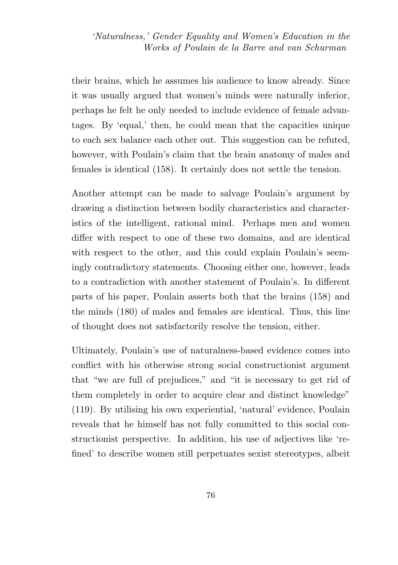their brains, which he assumes his audience to know already. Since it was usually argued that women's minds were naturally inferior, perhaps he felt he only needed to include evidence of female advantages. By 'equal,' then, he could mean that the capacities unique to each sex balance each other out. This suggestion can be refuted, however, with Poulain's claim that the brain anatomy of males and females is identical (158). It certainly does not settle the tension.

Another attempt can be made to salvage Poulain's argument by drawing a distinction between bodily characteristics and characteristics of the intelligent, rational mind. Perhaps men and women differ with respect to one of these two domains, and are identical with respect to the other, and this could explain Poulain's seemingly contradictory statements. Choosing either one, however, leads to a contradiction with another statement of Poulain's. In different parts of his paper, Poulain asserts both that the brains (158) and the minds (180) of males and females are identical. Thus, this line of thought does not satisfactorily resolve the tension, either.

Ultimately, Poulain's use of naturalness-based evidence comes into conflict with his otherwise strong social constructionist argument that "we are full of prejudices," and "it is necessary to get rid of them completely in order to acquire clear and distinct knowledge" (119). By utilising his own experiential, 'natural' evidence, Poulain reveals that he himself has not fully committed to this social constructionist perspective. In addition, his use of adjectives like 'refined' to describe women still perpetuates sexist stereotypes, albeit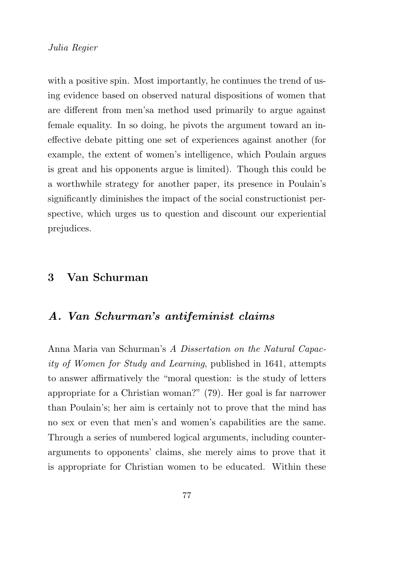with a positive spin. Most importantly, he continues the trend of using evidence based on observed natural dispositions of women that are different from men'sa method used primarily to argue against female equality. In so doing, he pivots the argument toward an ineffective debate pitting one set of experiences against another (for example, the extent of women's intelligence, which Poulain argues is great and his opponents argue is limited). Though this could be a worthwhile strategy for another paper, its presence in Poulain's significantly diminishes the impact of the social constructionist perspective, which urges us to question and discount our experiential prejudices.

## 3 Van Schurman

## A. Van Schurman's antifeminist claims

Anna Maria van Schurman's A Dissertation on the Natural Capacity of Women for Study and Learning, published in 1641, attempts to answer affirmatively the "moral question: is the study of letters appropriate for a Christian woman?" (79). Her goal is far narrower than Poulain's; her aim is certainly not to prove that the mind has no sex or even that men's and women's capabilities are the same. Through a series of numbered logical arguments, including counterarguments to opponents' claims, she merely aims to prove that it is appropriate for Christian women to be educated. Within these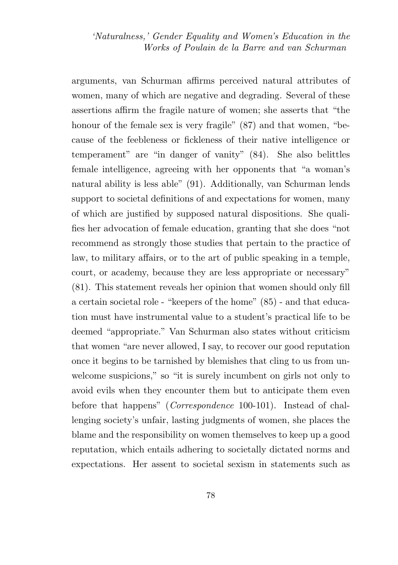arguments, van Schurman affirms perceived natural attributes of women, many of which are negative and degrading. Several of these assertions affirm the fragile nature of women; she asserts that "the honour of the female sex is very fragile"  $(87)$  and that women, "because of the feebleness or fickleness of their native intelligence or temperament" are "in danger of vanity" (84). She also belittles female intelligence, agreeing with her opponents that "a woman's natural ability is less able" (91). Additionally, van Schurman lends support to societal definitions of and expectations for women, many of which are justified by supposed natural dispositions. She qualifies her advocation of female education, granting that she does "not recommend as strongly those studies that pertain to the practice of law, to military affairs, or to the art of public speaking in a temple, court, or academy, because they are less appropriate or necessary" (81). This statement reveals her opinion that women should only fill a certain societal role - "keepers of the home" (85) - and that education must have instrumental value to a student's practical life to be deemed "appropriate." Van Schurman also states without criticism that women "are never allowed, I say, to recover our good reputation once it begins to be tarnished by blemishes that cling to us from unwelcome suspicions," so "it is surely incumbent on girls not only to avoid evils when they encounter them but to anticipate them even before that happens" (*Correspondence* 100-101). Instead of challenging society's unfair, lasting judgments of women, she places the blame and the responsibility on women themselves to keep up a good reputation, which entails adhering to societally dictated norms and expectations. Her assent to societal sexism in statements such as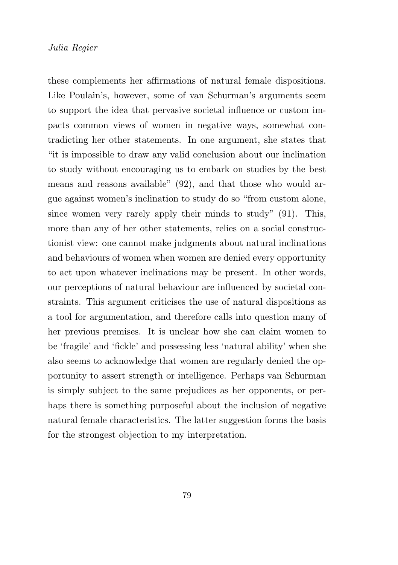these complements her affirmations of natural female dispositions. Like Poulain's, however, some of van Schurman's arguments seem to support the idea that pervasive societal influence or custom impacts common views of women in negative ways, somewhat contradicting her other statements. In one argument, she states that "it is impossible to draw any valid conclusion about our inclination to study without encouraging us to embark on studies by the best means and reasons available" (92), and that those who would argue against women's inclination to study do so "from custom alone, since women very rarely apply their minds to study" (91). This, more than any of her other statements, relies on a social constructionist view: one cannot make judgments about natural inclinations and behaviours of women when women are denied every opportunity to act upon whatever inclinations may be present. In other words, our perceptions of natural behaviour are influenced by societal constraints. This argument criticises the use of natural dispositions as a tool for argumentation, and therefore calls into question many of her previous premises. It is unclear how she can claim women to be 'fragile' and 'fickle' and possessing less 'natural ability' when she also seems to acknowledge that women are regularly denied the opportunity to assert strength or intelligence. Perhaps van Schurman is simply subject to the same prejudices as her opponents, or perhaps there is something purposeful about the inclusion of negative natural female characteristics. The latter suggestion forms the basis for the strongest objection to my interpretation.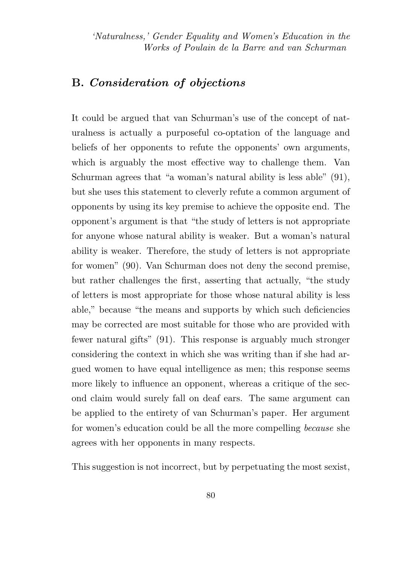# B. Consideration of objections

It could be argued that van Schurman's use of the concept of naturalness is actually a purposeful co-optation of the language and beliefs of her opponents to refute the opponents' own arguments, which is arguably the most effective way to challenge them. Van Schurman agrees that "a woman's natural ability is less able" (91), but she uses this statement to cleverly refute a common argument of opponents by using its key premise to achieve the opposite end. The opponent's argument is that "the study of letters is not appropriate for anyone whose natural ability is weaker. But a woman's natural ability is weaker. Therefore, the study of letters is not appropriate for women" (90). Van Schurman does not deny the second premise, but rather challenges the first, asserting that actually, "the study of letters is most appropriate for those whose natural ability is less able," because "the means and supports by which such deficiencies may be corrected are most suitable for those who are provided with fewer natural gifts" (91). This response is arguably much stronger considering the context in which she was writing than if she had argued women to have equal intelligence as men; this response seems more likely to influence an opponent, whereas a critique of the second claim would surely fall on deaf ears. The same argument can be applied to the entirety of van Schurman's paper. Her argument for women's education could be all the more compelling because she agrees with her opponents in many respects.

This suggestion is not incorrect, but by perpetuating the most sexist.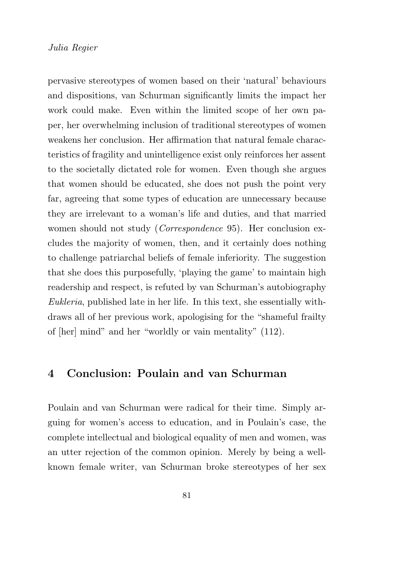pervasive stereotypes of women based on their 'natural' behaviours and dispositions, van Schurman significantly limits the impact her work could make. Even within the limited scope of her own paper, her overwhelming inclusion of traditional stereotypes of women weakens her conclusion. Her affirmation that natural female characteristics of fragility and unintelligence exist only reinforces her assent to the societally dictated role for women. Even though she argues that women should be educated, she does not push the point very far, agreeing that some types of education are unnecessary because they are irrelevant to a woman's life and duties, and that married women should not study (*Correspondence* 95). Her conclusion excludes the majority of women, then, and it certainly does nothing to challenge patriarchal beliefs of female inferiority. The suggestion that she does this purposefully, 'playing the game' to maintain high readership and respect, is refuted by van Schurman's autobiography Eukleria, published late in her life. In this text, she essentially withdraws all of her previous work, apologising for the "shameful frailty of [her] mind" and her "worldly or vain mentality" (112).

## 4 Conclusion: Poulain and van Schurman

Poulain and van Schurman were radical for their time. Simply arguing for women's access to education, and in Poulain's case, the complete intellectual and biological equality of men and women, was an utter rejection of the common opinion. Merely by being a wellknown female writer, van Schurman broke stereotypes of her sex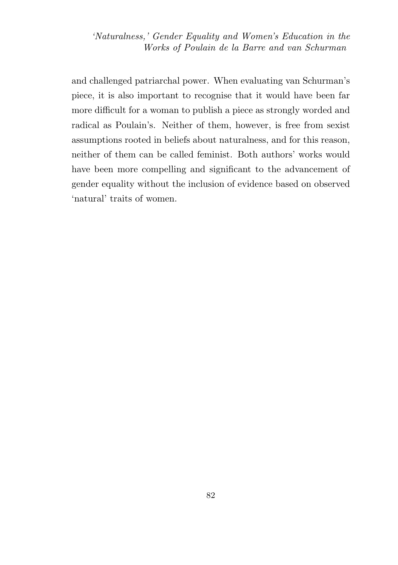and challenged patriarchal power. When evaluating van Schurman's piece, it is also important to recognise that it would have been far more difficult for a woman to publish a piece as strongly worded and radical as Poulain's. Neither of them, however, is free from sexist assumptions rooted in beliefs about naturalness, and for this reason, neither of them can be called feminist. Both authors' works would have been more compelling and significant to the advancement of gender equality without the inclusion of evidence based on observed 'natural' traits of women.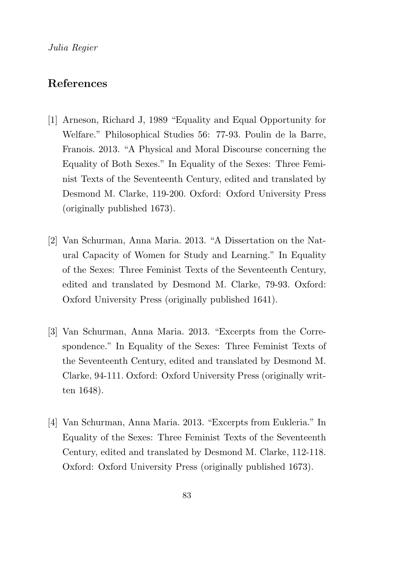# References

- [1] Arneson, Richard J, 1989 "Equality and Equal Opportunity for Welfare." Philosophical Studies 56: 77-93. Poulin de la Barre, Franois. 2013. "A Physical and Moral Discourse concerning the Equality of Both Sexes." In Equality of the Sexes: Three Feminist Texts of the Seventeenth Century, edited and translated by Desmond M. Clarke, 119-200. Oxford: Oxford University Press (originally published 1673).
- [2] Van Schurman, Anna Maria. 2013. "A Dissertation on the Natural Capacity of Women for Study and Learning." In Equality of the Sexes: Three Feminist Texts of the Seventeenth Century, edited and translated by Desmond M. Clarke, 79-93. Oxford: Oxford University Press (originally published 1641).
- [3] Van Schurman, Anna Maria. 2013. "Excerpts from the Correspondence." In Equality of the Sexes: Three Feminist Texts of the Seventeenth Century, edited and translated by Desmond M. Clarke, 94-111. Oxford: Oxford University Press (originally written 1648).
- [4] Van Schurman, Anna Maria. 2013. "Excerpts from Eukleria." In Equality of the Sexes: Three Feminist Texts of the Seventeenth Century, edited and translated by Desmond M. Clarke, 112-118. Oxford: Oxford University Press (originally published 1673).